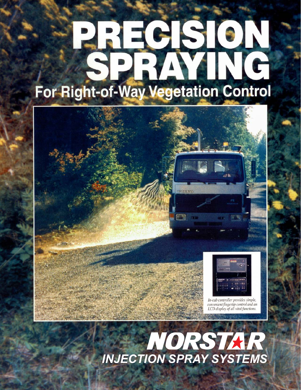# **PRECISION**<br>SPRAYING For Right-of-Way Vegetation Control



# NORSTAR *INJECTION SPRAY SYSTEMS*